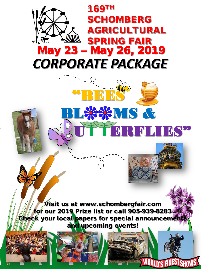

**EXAMPLE** 

**ERFLIE** 

**WORLD'S FINEST SHOWS** 

**Wisit us at www.schombergfair.com** for our 2019 Prize list or call 905-939-82833 Check your local papers for special announcement and upcoming events!

 $\mathfrak{c}$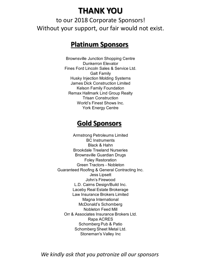# **THANK YOU**

to our 2018 Corporate Sponsors! Without your support, our fair would not exist.

## **Platinum Sponsors**

Brownsville Junction Shopping Centre Dunkerron Elevator Fines Ford Lincoln Sales & Service Ltd. Galt Family Husky Injection Molding Systems James Dick Construction Limited Kelson Family Foundation Remax Hallmark Lind Group Realty Trisan Construction World's Finest Shows Inc. York Energy Centre

## **Gold Sponsors**

Armstrong Petroleums Limited BC Instruments Black & Hahn Brookdale Treeland Nurseries Brownsville Guardian Drugs Foley Restoration Green Tractors - Nobleton Guaranteed Roofing & General Contracting Inc. Jess Lipsett John's Firewood L.D. Cairns Design/Build Inc. Laceby Real Estate Brokerage Law Insurance Brokers Limited Magna International McDonald's Schomberg Nobleton Feed Mill Orr & Associates Insurance Brokers Ltd. Rapa ACRES Schomberg Pub & Patio Schomberg Sheet Metal Ltd. Stoneman's Valley Inc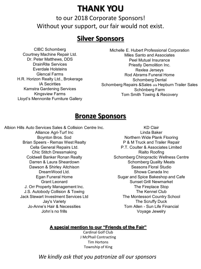# **THANK YOU**

to our 2018 Corporate Sponsors! Without your support, our fair would not exist.

## **Silver Sponsors**

CIBC Schomberg Courtney Machine Repair Ltd. Dr. Peter Matthews, DDS DrainRite Services Everdale Holsteins Glencal Farms H.R. Horizon Realty Ltd., Brokerage IA Secirities Kamstra Gardening Services Kingsview Farms Lloyd's Mennonite Furniture Gallery

Michelle E. Hubert Professional Corporation Miles Santo and Associates Peel Mutual Insurance Priestly Demolition Inc. Rexlea Jerseys Rod Abrams Funeral Home Schomberg Dental Schomberg Repairs & Sales o/a Hepburn Trailer Sales Schönberg Farm Tom Smith Towing & Recovery

## **Bronze Sponsors**

Albion Hills Auto Services Sales & Collision Centre Inc. Alliance Agri-Turf Inc Boynton Bros. Sod

Brian Speers - Remax West Realty Cella General Repairs Ltd. Chic Stitch Dressmaking Coldwell Banker Ronan Realty Darren & Laura Sheardown Dawson & Shirley Aitchison DreamWood Ltd. Egan Funeral Home Grant Leonard J. Orr Property Management Inc. J.S. Autobody Collision & Towing Jack Stewart Investment Services Ltd Jay's Variety Jo-Anne's Hair & Necessities John's no frills

KD Clair Linda Baker Northern Wide Plank Flooring P & M Truck and Trailer Repair P.T. Coulter & Associates Limited Rialto Roofing Schomberg Chiropractic Wellness Centre Schomberg Quality Meats Seasons Floral Studio Showa Canada Inc Sugar and Spice Bakeshop and Cafe Sunset Grill Newmarket The Fireplace Stop The Kennel Club The Montessori Country School The Scruffy Duck Tom Allen - Sun Life Financial Voyage Jewelry

#### **A special mention to our "Friends of the Fair"**

Cardinal Golf Club J McPhail Contracting Tim Hortons Township of King

*We kindly ask that you patronize all our sponsors*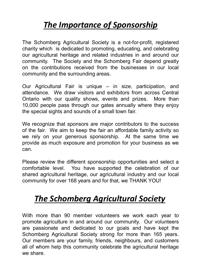# *The Importance of Sponsorship*

The Schomberg Agricultural Society is a not-for-profit, registered charity which is dedicated to promoting, educating, and celebrating our agricultural heritage and related industries in and around our community. The Society and the Schomberg Fair depend greatly on the contributions received from the businesses in our local community and the surrounding areas.

Our Agricultural Fair is unique – in size, participation, and attendance. We draw visitors and exhibitors from across Central Ontario with our quality shows, events and prizes. More than 10,000 people pass through our gates annually where they enjoy the special sights and sounds of a small town fair.

We recognize that sponsors are major contributors to the success of the fair. We aim to keep the fair an affordable family activity so we rely on your generous sponsorship. At the same time we provide as much exposure and promotion for your business as we can.

Please review the different sponsorship opportunities and select a comfortable level. You have supported the celebration of our shared agricultural heritage, our agricultural industry and our local community for over 168 years and for that, we THANK YOU!

# *The Schomberg Agricultural Society*

With more than 90 member volunteers we work each year to promote agriculture in and around our community. Our volunteers are passionate and dedicated to our goals and have kept the Schomberg Agricultural Society strong for more than 165 years. Our members are your family, friends, neighbours, and customers all of whom help this community celebrate the agricultural heritage we share.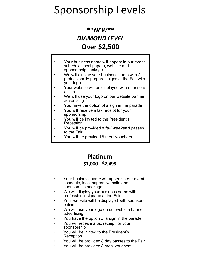# Sponsorship Levels

## **\*\****NEW\*\* DIAMOND LEVEL* **Over \$2,500**

- Your business name will appear in our event schedule, local papers, website and sponsorship package
- We will display your business name with 2 professionally prepared signs at the Fair with your logo
- Your website will be displayed with sponsors online
- We will use your logo on our website banner advertising
- You have the option of a sign in the parade
- You will receive a tax receipt for your sponsorship
- You will be invited to the President's Reception
- You will be provided 8 *full weekend* passes to the Fair
- You will be provided 8 meal vouchers

### **Platinum**

#### **\$1,000 - \$2,499**

- Your business name will appear in our event schedule, local papers, website and sponsorship package
- We will display your business name with professional signage at the Fair
- Your website will be displayed with sponsors online
- We will use your logo on our website banner advertising
- You have the option of a sign in the parade
- You will receive a tax receipt for your sponsorship
- You will be invited to the President's Reception
- You will be provided 8 day passes to the Fair
- You will be provided 8 meal vouchers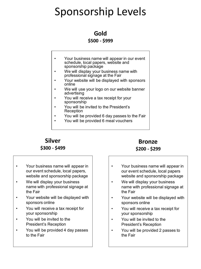# Sponsorship Levels

#### **Gold**

#### **\$500 - \$999**

- Your business name will appear in our event schedule, local papers, website and sponsorship package
- We will display your business name with professional signage at the Fair
- Your website will be displayed with sponsors online
- We will use your logo on our website banner advertising
- You will receive a tax receipt for your sponsorship
- You will be invited to the President's Reception
- You will be provided 6 day passes to the Fair
- You will be provided 6 meal vouchers

### **Silver \$300 - \$499**

#### **Bronze \$200 - \$299**

- Your business name will appear in our event schedule, local papers, website and sponsorship package
- We will display your business name with professional signage at the Fair
- Your website will be displayed with sponsors online
- You will receive a tax receipt for your sponsorship
- You will be invited to the President's Reception
- You will be provided 4 day passes to the Fair
- Your business name will appear in our event schedule, local papers website and sponsorship package
- We will display your business name with professional signage at the Fair
- Your website will be displayed with sponsors online
- You will receive a tax receipt for your sponsorship
- You will be invited to the President's Reception
- You will be provided 2 passes to the Fair